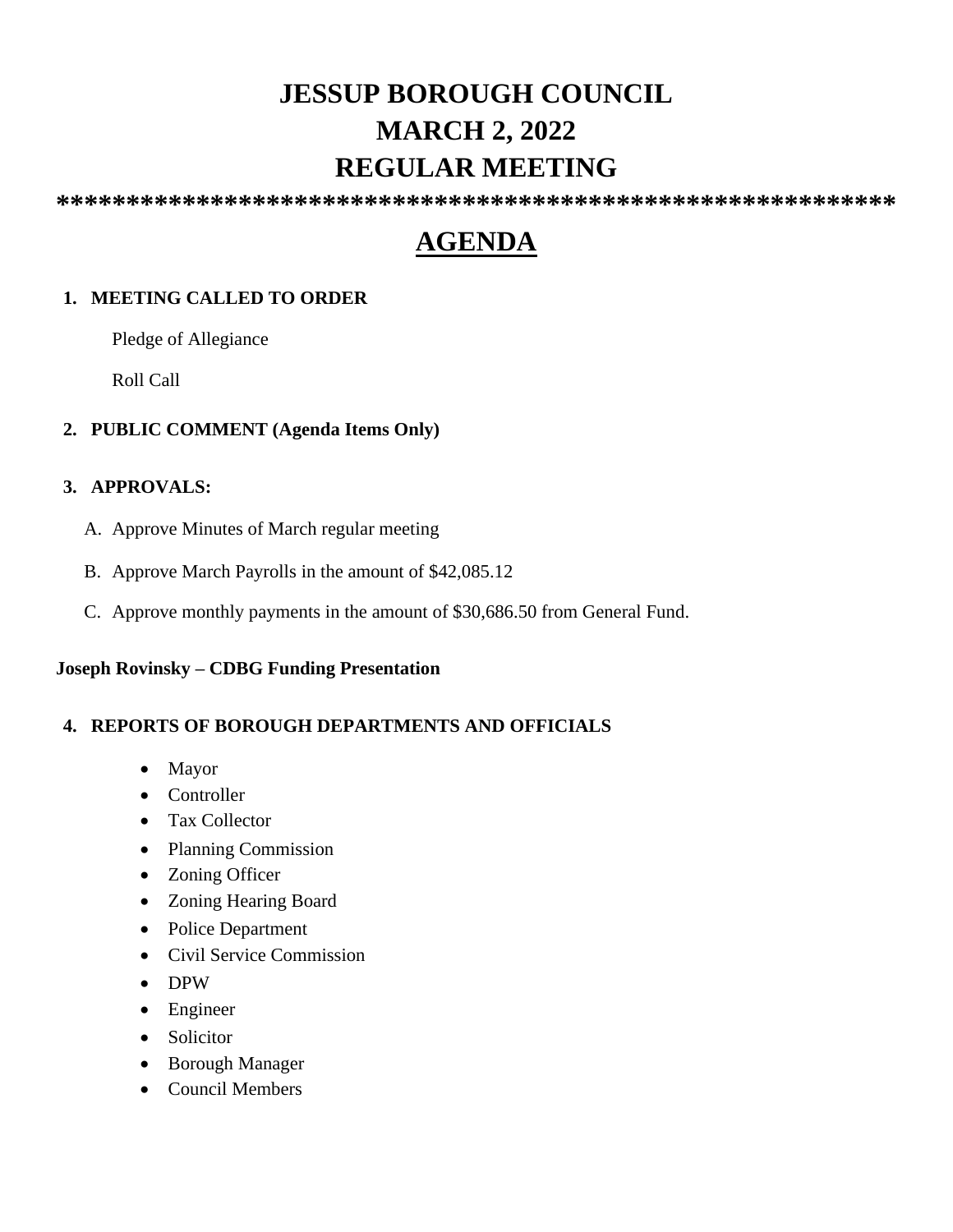# **JESSUP BOROUGH COUNCIL MARCH 2, 2022 REGULAR MEETING**

**\*\*\*\*\*\*\*\*\*\*\*\*\*\*\*\*\*\*\*\*\*\*\*\*\*\*\*\*\*\*\*\*\*\*\*\*\*\*\*\*\*\*\*\*\*\*\*\*\*\*\*\*\*\*\*\*\*\*\*\***

# **AGENDA**

## **1. MEETING CALLED TO ORDER**

Pledge of Allegiance

Roll Call

## **2. PUBLIC COMMENT (Agenda Items Only)**

## **3. APPROVALS:**

- A. Approve Minutes of March regular meeting
- B. Approve March Payrolls in the amount of \$42,085.12
- C. Approve monthly payments in the amount of \$30,686.50 from General Fund.

## **Joseph Rovinsky – CDBG Funding Presentation**

## **4. REPORTS OF BOROUGH DEPARTMENTS AND OFFICIALS**

- Mayor
- Controller
- Tax Collector
- Planning Commission
- Zoning Officer
- Zoning Hearing Board
- Police Department
- Civil Service Commission
- DPW
- Engineer
- Solicitor
- Borough Manager
- Council Members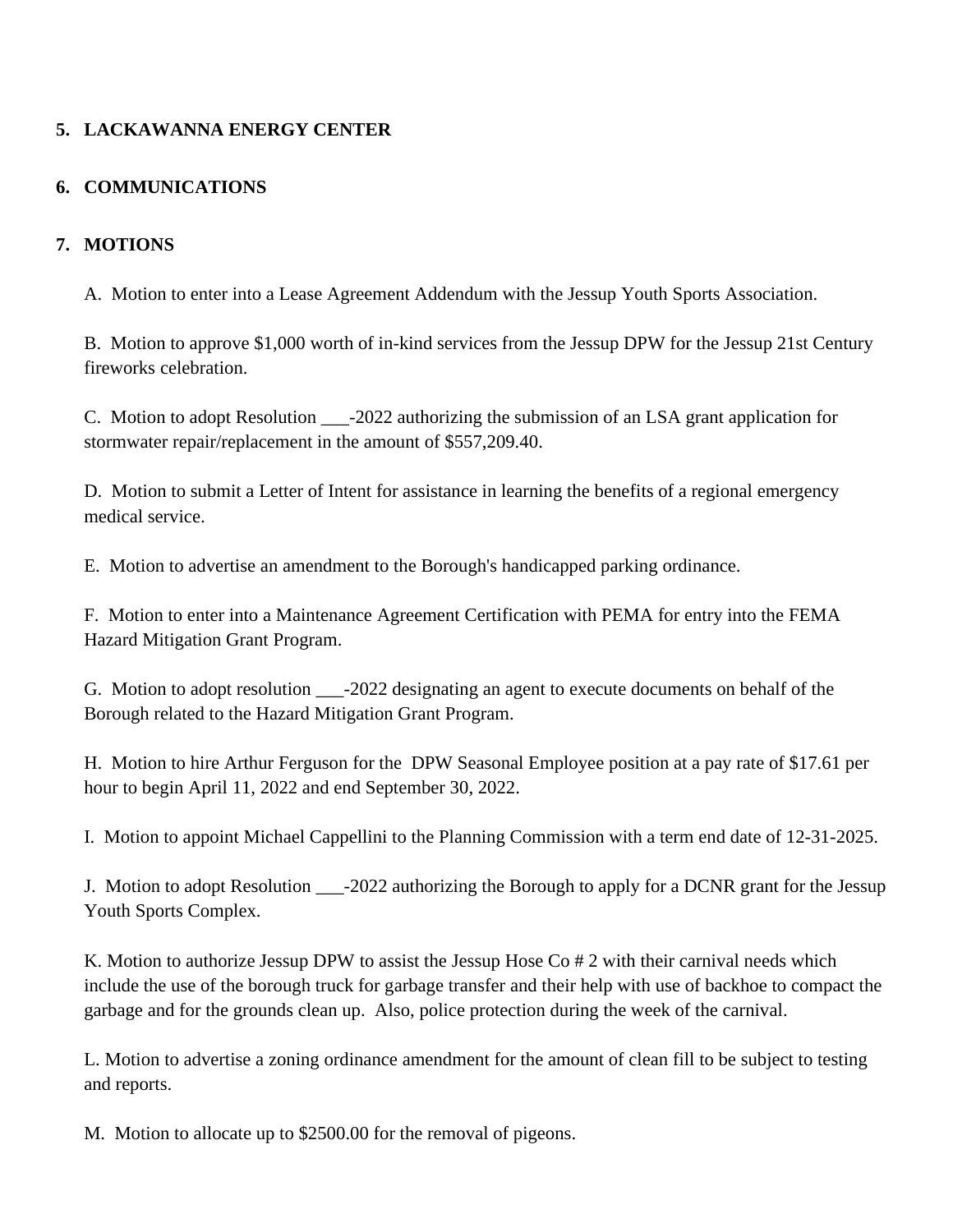# **5. LACKAWANNA ENERGY CENTER**

## **6. COMMUNICATIONS**

## **7. MOTIONS**

A. Motion to enter into a Lease Agreement Addendum with the Jessup Youth Sports Association.

B. Motion to approve \$1,000 worth of in-kind services from the Jessup DPW for the Jessup 21st Century fireworks celebration.

C. Motion to adopt Resolution \_\_\_-2022 authorizing the submission of an LSA grant application for stormwater repair/replacement in the amount of \$557,209.40.

D. Motion to submit a Letter of Intent for assistance in learning the benefits of a regional emergency medical service.

E. Motion to advertise an amendment to the Borough's handicapped parking ordinance.

F. Motion to enter into a Maintenance Agreement Certification with PEMA for entry into the FEMA Hazard Mitigation Grant Program.

G. Motion to adopt resolution \_\_\_-2022 designating an agent to execute documents on behalf of the Borough related to the Hazard Mitigation Grant Program.

H. Motion to hire Arthur Ferguson for the DPW Seasonal Employee position at a pay rate of \$17.61 per hour to begin April 11, 2022 and end September 30, 2022.

I. Motion to appoint Michael Cappellini to the Planning Commission with a term end date of 12-31-2025.

J. Motion to adopt Resolution \_\_\_-2022 authorizing the Borough to apply for a DCNR grant for the Jessup Youth Sports Complex.

K. Motion to authorize Jessup DPW to assist the Jessup Hose Co # 2 with their carnival needs which include the use of the borough truck for garbage transfer and their help with use of backhoe to compact the garbage and for the grounds clean up. Also, police protection during the week of the carnival.

L. Motion to advertise a zoning ordinance amendment for the amount of clean fill to be subject to testing and reports.

M. Motion to allocate up to \$2500.00 for the removal of pigeons.